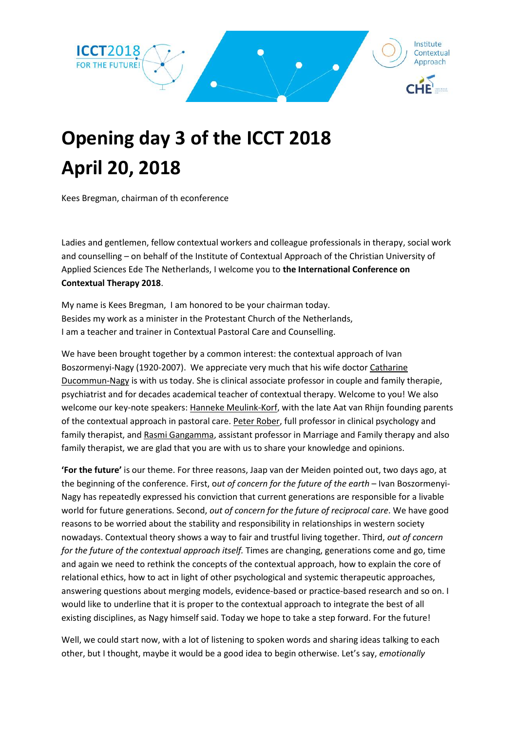

## **Opening day 3 of the ICCT 2018 April 20, 2018**

Kees Bregman, chairman of th econference

Ladies and gentlemen, fellow contextual workers and colleague professionals in therapy, social work and counselling – on behalf of the Institute of Contextual Approach of the Christian University of Applied Sciences Ede The Netherlands, I welcome you to **the International Conference on Contextual Therapy 2018**.

My name is Kees Bregman, I am honored to be your chairman today. Besides my work as a minister in the Protestant Church of the Netherlands, I am a teacher and trainer in Contextual Pastoral Care and Counselling.

We have been brought together by a common interest: the contextual approach of Ivan Boszormenyi-Nagy (1920-2007). We appreciate very much that his wife doctor Catharine Ducommun-Nagy is with us today. She is clinical associate professor in couple and family therapie, psychiatrist and for decades academical teacher of contextual therapy. Welcome to you! We also welcome our key-note speakers: Hanneke Meulink-Korf, with the late Aat van Rhijn founding parents of the contextual approach in pastoral care. Peter Rober, full professor in clinical psychology and family therapist, and Rasmi Gangamma, assistant professor in Marriage and Family therapy and also family therapist, we are glad that you are with us to share your knowledge and opinions.

**'For the future'** is our theme. For three reasons, Jaap van der Meiden pointed out, two days ago, at the beginning of the conference. First, o*ut of concern for the future of the earth* – Ivan Boszormenyi-Nagy has repeatedly expressed his conviction that current generations are responsible for a livable world for future generations. Second, *out of concern for the future of reciprocal care*. We have good reasons to be worried about the stability and responsibility in relationships in western society nowadays. Contextual theory shows a way to fair and trustful living together. Third, *out of concern for the future of the contextual approach itself.* Times are changing, generations come and go, time and again we need to rethink the concepts of the contextual approach, how to explain the core of relational ethics, how to act in light of other psychological and systemic therapeutic approaches, answering questions about merging models, evidence-based or practice-based research and so on. I would like to underline that it is proper to the contextual approach to integrate the best of all existing disciplines, as Nagy himself said. Today we hope to take a step forward. For the future!

Well, we could start now, with a lot of listening to spoken words and sharing ideas talking to each other, but I thought, maybe it would be a good idea to begin otherwise. Let's say, *emotionally*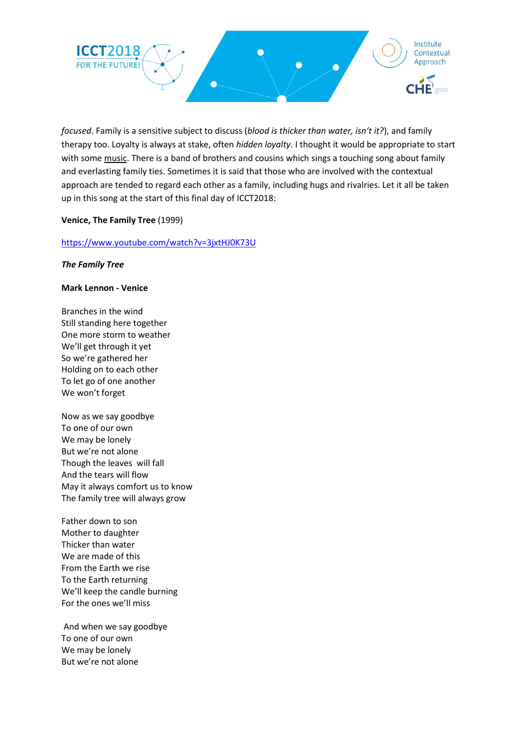

*focused*. Family is a sensitive subject to discuss (*blood is thicker than water, isn't it?*), and family therapy too. Loyalty is always at stake, often *hidden loyalty*. I thought it would be appropriate to start with some music. There is a band of brothers and cousins which sings a touching song about family and everlasting family ties. Sometimes it is said that those who are involved with the contextual approach are tended to regard each other as a family, including hugs and rivalries. Let it all be taken up in this song at the start of this final day of ICCT2018:

## **Venice, The Family Tree** (1999)

## <https://www.youtube.com/watch?v=3jxtHJ0K73U>

*The Family Tree*

## **Mark Lennon - Venice**

Branches in the wind Still standing here together One more storm to weather We'll get through it yet So we're gathered her Holding on to each other To let go of one another We won't forget

Now as we say goodbye To one of our own We may be lonely But we're not alone Though the leaves will fall And the tears will flow May it always comfort us to know The family tree will always grow

Father down to son Mother to daughter Thicker than water We are made of this From the Earth we rise To the Earth returning We'll keep the candle burning For the ones we'll miss

And when we say goodbye To one of our own We may be lonely But we're not alone